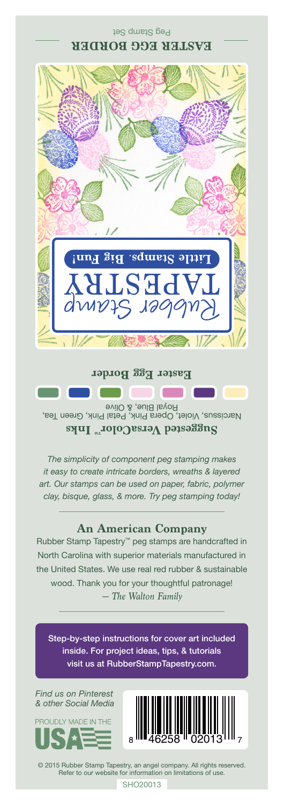## Peg Stamp Set **EASTER EGG BORDER**



Narcissus, Violet, Opera Pink, Petal Pink, Green Tea, Royal Blue, & Olive **Suggested VersaColorTM Inks**

*The simplicity of component peg stamping makes it easy to create intricate borders, wreaths & layered art. Our stamps can be used on paper, fabric, polymer clay, bisque, glass, & more. Try peg stamping today!*

## **An American Company**

*— The Walton Family* Rubber Stamp Tapestry™ peg stamps are handcrafted in North Carolina with superior materials manufactured in the United States. We use real red rubber & sustainable wood. Thank you for your thoughtful patronage!

Step-by-step instructions for cover art included inside. For project ideas, tips, & tutorials visit us at RubberStampTapestry.com.

*Find us on Pinterest & other Social Media*





© 2015 Rubber Stamp Tapestry, an angel company. All rights reserved. Refer to our website for information on limitations of use.